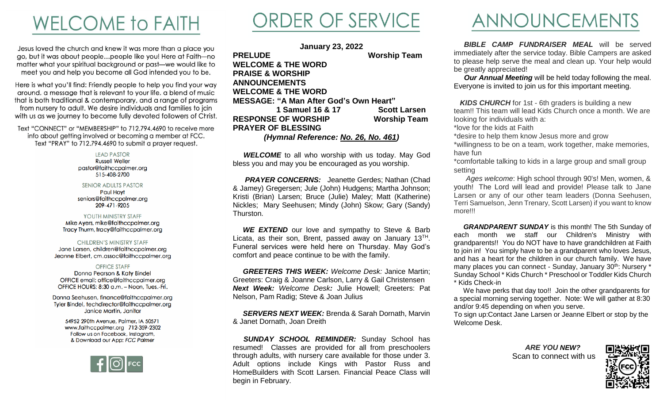# **WELCOME TO FAITH**

Jesus loved the church and knew it was more than a place you go, but it was about people...people like you! Here at Faith-no matter what your spiritual background or past-we would like to meet you and help you become all God intended you to be.

Here is what you'll find: Friendly people to help you find your way around, a message that is relevant to your life, a blend of music that is both traditional & contemporary, and a range of programs from nursery to adult. We desire individuals and families to join with us as we journey to become fully devoted followers of Christ.

Text "CONNECT" or "MEMBERSHIP" to 712.794.4690 to receive more info about getting involved or becoming a member at FCC. Text "PRAY" to 712.794.4690 to submit a prayer request.

> **LEAD PASTOR Russell Weller** pastor@faithccpalmer.org 515-408-2700

**SENIOR ADULTS PASTOR Paul Hovt** seniors@faithccpalmer.org 209-471-9205

### YOUTH MINISTRY STAFF Mike Ayers, mike@faithccpalmer.org

Tracy Thurm, tracy@faithccpalmer.org

**CHILDREN'S MINISTRY STAFF** Jane Larsen, children@faithccpalmer.org Jeanne Elbert, cm.assoc@faithccpalmer.org

#### **OFFICE STAFF**

Donna Pearson & Katy Bindel OFFICE email: office@faithccpalmer.org OFFICE HOURS: 8:30 a.m. - Noon, Tues.-Fri.

Donna Seehusen, finance@faithccpalmer.org Tyler Bindel, techdirector@faithccpalmer.org Janice Martin, Janitor

> 54952 290th Avenue, Palmer, IA 50571 www.faithccpalmer.org 712-359-2302 Follow us on Facebook, Instagram, & Download our App: FCC Palmer



# ORDER OF SERVICE

**January 23, 2022 PRELUDE Worship Team WELCOME & THE WORD PRAISE & WORSHIP ANNOUNCEMENTS WELCOME & THE WORD MESSAGE: "A Man After God's Own Heart" 1 Samuel 16 & 17 Scott Larsen RESPONSE OF WORSHIP Worship Team PRAYER OF BLESSING** *(Hymnal Reference: No. 26, No. 461)*

**WELCOME** to all who worship with us today. May God bless you and may you be encouraged as you worship.

**PRAYER CONCERNS:** Jeanette Gerdes; Nathan (Chad & Jamey) Gregersen; Jule (John) Hudgens; Martha Johnson; Kristi (Brian) Larsen; Bruce (Julie) Maley; Matt (Katherine) Nickles; Mary Seehusen; Mindy (John) Skow; Gary (Sandy) Thurston.

**WE EXTEND** our love and sympathy to Steve & Barb Licata, as their son, Brent, passed away on January 13<sup>TH</sup>. Funeral services were held here on Thursday. May God's comfort and peace continue to be with the family.

 *GREETERS THIS WEEK: Welcome Desk:* Janice Martin; Greeters: Craig & Joanne Carlson, Larry & Gail Christensen *Next Week: Welcome Desk:* Julie Howell; Greeters: Pat Nelson, Pam Radig; Steve & Joan Julius

 *SERVERS NEXT WEEK:* Brenda & Sarah Dornath, Marvin & Janet Dornath, Joan Dreith

 *SUNDAY SCHOOL REMINDER:* Sunday School has resumed! Classes are provided for all from preschoolers through adults, with nursery care available for those under 3. Adult options include Kings with Pastor Russ and HomeBuilders with Scott Larsen. Financial Peace Class will begin in February.

### ANNOUNCEMENTS

 *BIBLE CAMP FUNDRAISER MEAL* will be served immediately after the service today. Bible Campers are asked to please help serve the meal and clean up. Your help would be greatly appreciated!

 *Our Annual Meeting* will be held today following the meal. Everyone is invited to join us for this important meeting.

*KIDS CHURCH* for 1st - 6th graders is building a new team!! This team will lead Kids Church once a month. We are looking for individuals with a:

\*love for the kids at Faith

\*desire to help them know Jesus more and grow

\*willingness to be on a team, work together, make memories, have fun

\*comfortable talking to kids in a large group and small group setting

 *Ages welcome*: High school through 90's! Men, women, & youth! The Lord will lead and provide! Please talk to Jane Larsen or any of our other team leaders (Donna Seehusen, Terri Samuelson, Jenn Trenary, Scott Larsen) if you want to know more!!!

 *GRANDPARENT SUNDAY* is this month! The 5th Sunday of each month we staff our Children's Ministry with grandparents!! You do NOT have to have grandchildren at Faith to join in! You simply have to be a grandparent who loves Jesus, and has a heart for the children in our church family. We have many places you can connect - Sunday, January 30<sup>th</sup>: Nursery \* Sunday School \* Kids Church \* Preschool or Toddler Kids Church \* Kids Check-in

We have perks that day too!! Join the other grandparents for a special morning serving together. Note: We will gather at 8:30 and/or 9:45 depending on when you serve.

To sign up:Contact Jane Larsen or Jeanne Elbert or stop by the Welcome Desk.

> *ARE YOU NEW?* Scan to connect with us